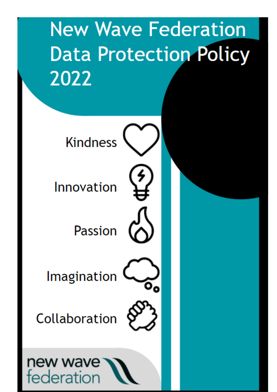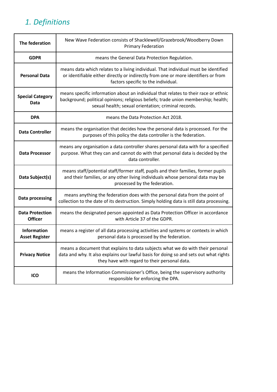# *1. Definitions*

| The federation                              | New Wave Federation consists of Shacklewell/Grazebrook/Woodberry Down<br><b>Primary Federation</b>                                                                                                                                |
|---------------------------------------------|-----------------------------------------------------------------------------------------------------------------------------------------------------------------------------------------------------------------------------------|
| <b>GDPR</b>                                 | means the General Data Protection Regulation.                                                                                                                                                                                     |
| <b>Personal Data</b>                        | means data which relates to a living individual. That individual must be identified<br>or identifiable either directly or indirectly from one or more identifiers or from<br>factors specific to the individual.                  |
| <b>Special Category</b><br>Data             | means specific information about an individual that relates to their race or ethnic<br>background; political opinions; religious beliefs; trade union membership; health;<br>sexual health; sexual orientation; criminal records. |
| <b>DPA</b>                                  | means the Data Protection Act 2018.                                                                                                                                                                                               |
| <b>Data Controller</b>                      | means the organisation that decides how the personal data is processed. For the<br>purposes of this policy the data controller is the federation.                                                                                 |
| <b>Data Processor</b>                       | means any organisation a data controller shares personal data with for a specified<br>purpose. What they can and cannot do with that personal data is decided by the<br>data controller.                                          |
| Data Subject(s)                             | means staff/potential staff/former staff, pupils and their families, former pupils<br>and their families, or any other living individuals whose personal data may be<br>processed by the federation.                              |
| Data processing                             | means anything the federation does with the personal data from the point of<br>collection to the date of its destruction. Simply holding data is still data processing.                                                           |
| <b>Data Protection</b><br><b>Officer</b>    | means the designated person appointed as Data Protection Officer in accordance<br>with Article 37 of the GDPR.                                                                                                                    |
| <b>Information</b><br><b>Asset Register</b> | means a register of all data processing activities and systems or contexts in which<br>personal data is processed by the federation.                                                                                              |
| <b>Privacy Notice</b>                       | means a document that explains to data subjects what we do with their personal<br>data and why. It also explains our lawful basis for doing so and sets out what rights<br>they have with regard to their personal data.          |
| ICO                                         | means the Information Commissioner's Office, being the supervisory authority<br>responsible for enforcing the DPA.                                                                                                                |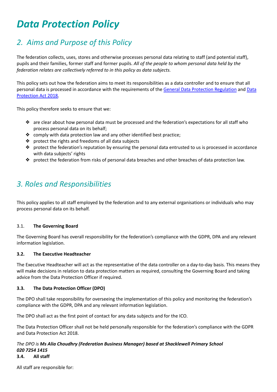# *Data Protection Policy*

### *2. Aims and Purpose of this Policy*

The federation collects, uses, stores and otherwise processes personal data relating to staff (and potential staff), pupils and their families, former staff and former pupils. *All of the people to whom personal data held by the federation relates are collectively referred to in this policy as data subjects.*

This policy sets out how the federation aims to meet its responsibilities as a data controller and to ensure that all personal data is processed in accordance with the requirements of the General Data Protection [Regulation](https://eugdpr.org/) and [Data](http://www.legislation.gov.uk/ukpga/2018/12/contents/enacted) [Protection](http://www.legislation.gov.uk/ukpga/2018/12/contents/enacted) Act 2018.

This policy therefore seeks to ensure that we:

- ❖ are clear about how personal data must be processed and the federation's expectations for all staff who process personal data on its behalf;
- ❖ comply with data protection law and any other identified best practice;
- ❖ protect the rights and freedoms of all data subjects
- ❖ protect the federation's reputation by ensuring the personal data entrusted to us is processed in accordance with data subjects' rights
- ❖ protect the federation from risks of personal data breaches and other breaches of data protection law.

### *3. Roles and Responsibilities*

This policy applies to all staff employed by the federation and to any external organisations or individuals who may process personal data on its behalf.

#### 3.1. **The Governing Board**

The Governing Board has overall responsibility for the federation's compliance with the GDPR, DPA and any relevant information legislation.

#### **3.2. The Executive Headteacher**

The Executive Headteacher will act as the representative of the data controller on a day-to-day basis. This means they will make decisions in relation to data protection matters as required, consulting the Governing Board and taking advice from the Data Protection Officer if required.

#### **3.3. The Data Protection Officer (DPO)**

The DPO shall take responsibility for overseeing the implementation of this policy and monitoring the federation's compliance with the GDPR, DPA and any relevant information legislation.

The DPO shall act as the first point of contact for any data subjects and for the ICO.

The Data Protection Officer shall not be held personally responsible for the federation's compliance with the GDPR and Data Protection Act 2018.

#### *The DPO is Ms Alia Choudhry (Federation Business Manager) based at Shacklewell Primary School 020 7254 1415* **3.4. All staff**

All staff are responsible for: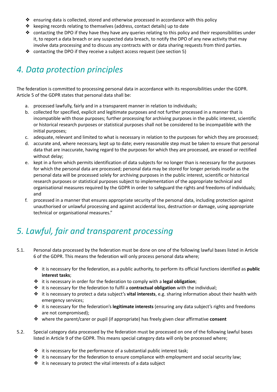- ❖ ensuring data is collected, stored and otherwise processed in accordance with this policy
- ❖ keeping records relating to themselves (address, contact details) up to date
- ❖ contacting the DPO if they have they have any queries relating to this policy and their responsibilities under it, to report a data breach or any suspected data breach, to notify the DPO of any new activity that may involve data processing and to discuss any contracts with or data sharing requests from third parties.
- ❖ contacting the DPO if they receive a subject access request (see section 5)

# *4. Data protection principles*

The federation is committed to processing personal data in accordance with its responsibilities under the GDPR. Article 5 of the GDPR states that personal data shall be:

- a. processed lawfully, fairly and in a transparent manner in relation to individuals;
- b. collected for specified, explicit and legitimate purposes and not further processed in a manner that is incompatible with those purposes; further processing for archiving purposes in the public interest, scientific or historical research purposes or statistical purposes shall not be considered to be incompatible with the initial purposes;
- c. adequate, relevant and limited to what is necessary in relation to the purposes for which they are processed;
- d. accurate and, where necessary, kept up to date; every reasonable step must be taken to ensure that personal data that are inaccurate, having regard to the purposes for which they are processed, are erased or rectified without delay;
- e. kept in a form which permits identification of data subjects for no longer than is necessary for the purposes for which the personal data are processed; personal data may be stored for longer periods insofar as the personal data will be processed solely for archiving purposes in the public interest, scientific or historical research purposes or statistical purposes subject to implementation of the appropriate technical and organisational measures required by the GDPR in order to safeguard the rights and freedoms of individuals; and
- f. processed in a manner that ensures appropriate security of the personal data, including protection against unauthorised or unlawful processing and against accidental loss, destruction or damage, using appropriate technical or organisational measures."

# *5. Lawful, fair and transparent processing*

- 5.1. Personal data processed by the federation must be done on one of the following lawful bases listed in Article 6 of the GDPR. This means the federation will only process personal data where;
	- ❖ it is necessary for the federation, as a public authority, to perform its official functions identified as **public interest tasks**;
	- ❖ it is necessary in order for the federation to comply with a **legal obligation**;
	- ❖ it is necessary for the federation to fulfil a **contractual obligation** with the individual;
	- ❖ it is necessary to protect a data subject's **vital interests**, e.g. sharing information about their health with emergency services;
	- ❖ it is necessary for the federation's **legitimate interests** (ensuring any data subject's rights and freedoms are not compromised);
	- ❖ where the parent/carer or pupil (if appropriate) has freely given clear affirmative **consent**
- 5.2. Special category data processed by the federation must be processed on one of the following lawful bases listed in Article 9 of the GDPR. This means special category data will only be processed where;
	- ❖ it is necessary for the performance of a substantial public interest task;
	- ❖ it is necessary for the federation to ensure compliance with employment and social security law;
	- ❖ it is necessary to protect the vital interests of a data subject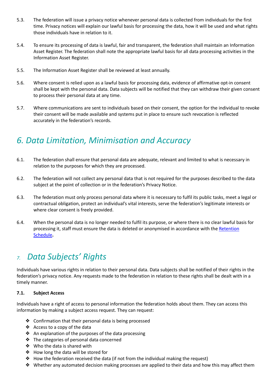- 5.3. The federation will issue a privacy notice whenever personal data is collected from individuals for the first time. Privacy notices will explain our lawful basis for processing the data, how it will be used and what rights those individuals have in relation to it.
- 5.4. To ensure its processing of data is lawful, fair and transparent, the federation shall maintain an Information Asset Register. The federation shall note the appropriate lawful basis for all data processing activities in the Information Asset Register.
- 5.5. The Information Asset Register shall be reviewed at least annually.
- 5.6. Where consent is relied upon as a lawful basis for processing data, evidence of affirmative opt-in consent shall be kept with the personal data. Data subjects will be notified that they can withdraw their given consent to process their personal data at any time.
- 5.7. Where communications are sent to individuals based on their consent, the option for the individual to revoke their consent will be made available and systems put in place to ensure such revocation is reflected accurately in the federation's records.

### *6. Data Limitation, Minimisation and Accuracy*

- 6.1. The federation shall ensure that personal data are adequate, relevant and limited to what is necessary in relation to the purposes for which they are processed.
- 6.2. The federation will not collect any personal data that is not required for the purposes described to the data subject at the point of collection or in the federation's Privacy Notice.
- 6.3. The federation must only process personal data where it is necessary to fulfil its public tasks, meet a legal or contractual obligation, protect an individual's vital interests, serve the federation's legitimate interests or where clear consent is freely provided.
- 6.4. When the personal data is no longer needed to fulfil its purpose, or where there is no clear lawful basis for processing it, staff must ensure the data is deleted or anonymised in accordance with the [Retention](https://www.hackneyservicesforschools.co.uk/system/files/extranet/02-2%20Schools%20Retention%20Schedule.xlsx) [Schedule](https://www.hackneyservicesforschools.co.uk/system/files/extranet/02-2%20Schools%20Retention%20Schedule.xlsx)**.**

### *7. Data Subjects' Rights*

Individuals have various rights in relation to their personal data. Data subjects shall be notified of their rights in the federation's privacy notice. Any requests made to the federation in relation to these rights shall be dealt with in a timely manner.

#### **7.1. Subject Access**

Individuals have a right of access to personal information the federation holds about them. They can access this information by making a subject access request. They can request:

- ❖ Confirmation that their personal data is being processed
- ❖ Access to a copy of the data
- ❖ An explanation of the purposes of the data processing
- ❖ The categories of personal data concerned
- ❖ Who the data is shared with
- ❖ How long the data will be stored for
- ❖ How the federation received the data (if not from the individual making the request)
- ❖ Whether any automated decision making processes are applied to their data and how this may affect them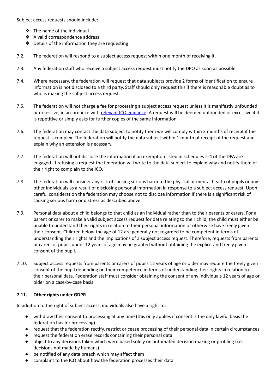Subject access requests should include:

- ❖ The name of the individual
- ❖ A valid correspondence address
- ❖ Details of the information they are requesting
- 7.2. The federation will respond to a subject access request within one month of receiving it.
- 7.3. Any federation staff who receive a subject access request must notify the DPO as soon as possible
- 7.4. Where necessary, the federation will request that data subjects provide 2 forms of identification to ensure information is not disclosed to a third party. Staff should only request this if there is reasonable doubt as to who is making the subject access request.
- 7.5. The federation will not charge a fee for processing a subject access request unless it is manifestly unfounded or excessive, in accordance with relevant ICO [guidance.](https://ico.org.uk/for-organisations/guide-to-data-protection/guide-to-the-general-data-protection-regulation-gdpr/individual-rights/right-of-access/) A request will be deemed unfounded or excessive if it is repetitive or simply asks for further copies of the same information.
- 7.6. The federation may contact the data subject to notify them we will comply within 3 months of receipt if the request is complex. The federation will notify the data subject within 1 month of receipt of the request and explain why an extension is necessary.
- 7.7. The federation will not disclose the information if an exemption listed in schedules 2-4 of the DPA are engaged. If refusing a request the federation will write to the data subject to explain why and notify them of their right to complain to the ICO.
- 7.8. The federation will consider any risk of causing serious harm to the physical or mental health of pupils or any other individuals as a result of disclosing personal information in response to a subject access request. Upon careful consideration the federation may choose not to disclose information if there is a significant risk of causing serious harm or distress as described above.
- 7.9. Personal data about a child belongs to that child as an individual rather than to their parents or carers. For a parent or carer to make a valid subject access request for data relating to their child, the child must either be unable to understand their rights in relation to their personal information or otherwise have freely given their consent. Children below the age of 12 are generally not regarded to be competent in terms of understanding their rights and the implications of a subject access request. Therefore, requests from parents or carers of pupils under 12 years of age may be granted without obtaining the explicit and freely given consent of the pupil.
- 7.10. Subject access requests from parents or carers of pupils 12 years of age or older may require the freely given consent of the pupil depending on their competence in terms of understanding their rights in relation to their personal data. Federation staff must consider obtaining the consent of any individuals 12 years of age or older on a case-by-case basis.

#### **7.11. Other rights under GDPR**

In addition to the right of subject access, individuals also have a right to;

- withdraw their consent to processing at any time (this only applies if consent is the only lawful basis the federation has for processing)
- request that the federation rectify, restrict or cease processing of their personal data in certain circumstances
- request the federation erase records containing their personal data
- object to any decisions taken which were based solely on automated decision making or profiling (i.e. decisions not made by humans)
- be notified of any data breach which may affect them
- complaint to the ICO about how the federation processes their data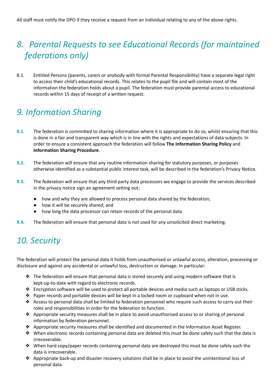# *8. Parental Requests to see Educational Records (for maintained federations only)*

8.1. Entitled Persons (parents, carers or anybody with formal Parental Responsibility) have a separate legal right to access their child's educational records. This relates to the pupil file and will contain most of the information the federation holds about a pupil. The federation must provide parental access to educational records within 15 days of receipt of a written request.

### *9. Information Sharing*

- **9.1**. The federation is committed to sharing information where it is appropriate to do so, whilst ensuring that this is done in a fair and transparent way which is in line with the rights and expectations of data subjects. In order to ensure a consistent approach the federation will follow **The Information Sharing Policy** and **Information Sharing Procedure**.
- **9.2.** The federation will ensure that any routine information sharing for statutory purposes, or purposes otherwise identified as a substantial public interest task, will be described in the federation's Privacy Notice.
- **9.3.** The federation will ensure that any third party data processors we engage to provide the services described in the privacy notice sign an agreement setting out;
	- how and why they are allowed to process personal data shared by the federation;
	- how it will be securely shared; and
	- how long the data processor can retain records of the personal data
- **9.4.** The federation will ensure that personal data is not used for any unsolicited direct marketing.

# *10. Security*

The federation will protect the personal data it holds from unauthorised or unlawful access, alteration, processing or disclosure and against any accidental or unlawful loss, destruction or damage. In particular:

- ❖ The federation will ensure that personal data is stored securely and using modern software that is kept-up-to-date with regard to electronic records.
- ❖ Encryption software will be used to protect all portable devices and media such as laptops or USB sticks.
- ❖ Paper records and portable devices will be kept in a locked room or cupboard when not in use.
- ❖ Access to personal data shall be limited to federation personnel who require such access to carry out their roles and responsibilities in order for the federation to function.
- ❖ Appropriate security measures shall be in place to avoid unauthorised access to or sharing of personal information by federation personnel.
- ❖ Appropriate security measures shall be identified and documented in the Information Asset Register.
- ❖ When electronic records containing personal data are deleted this must be done safely such that the data is irrecoverable.
- ❖ When hard copy/paper records containing personal data are destroyed this must be done safely such the data is irrecoverable.
- ❖ Appropriate back-up and disaster recovery solutions shall be in place to avoid the unintentional loss of personal data.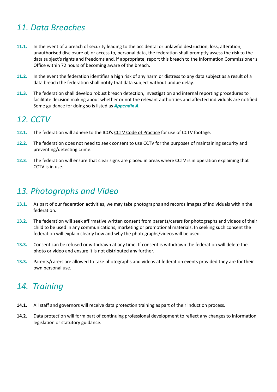### *11. Data Breaches*

- **11.1.** In the event of a breach of security leading to the accidental or unlawful destruction, loss, alteration, unauthorised disclosure of, or access to, personal data, the federation shall promptly assess the risk to the data subject's rights and freedoms and, if appropriate, report this breach to the Information Commissioner's Office within 72 hours of becoming aware of the breach.
- **11.2.** In the event the federation identifies a high risk of any harm or distress to any data subject as a result of a data breach the federation shall notify that data subject without undue delay.
- **11.3.** The federation shall develop robust breach detection, investigation and internal reporting procedures to facilitate decision making about whether or not the relevant authorities and affected individuals are notified. Some guidance for doing so is listed as *Appendix A.*

### *12. CCTV*

- 12.1. The federation will adhere to the ICO's CCTV Code of [Practice](https://ico.org.uk/media/1542/cctv-code-of-practice.pdf) for use of CCTV footage.
- **12.2.** The federation does not need to seek consent to use CCTV for the purposes of maintaining security and preventing/detecting crime.
- **12.3**. The federation will ensure that clear signs are placed in areas where CCTV is in operation explaining that CCTV is in use.

### *13. Photographs and Video*

- **13.1.** As part of our federation activities, we may take photographs and records images of individuals within the federation.
- **13.2.** The federation will seek affirmative written consent from parents/carers for photographs and videos of their child to be used in any communications, marketing or promotional materials. In seeking such consent the federation will explain clearly how and why the photographs/videos will be used.
- **13.3.** Consent can be refused or withdrawn at any time. If consent is withdrawn the federation will delete the photo or video and ensure it is not distributed any further.
- **13.3.** Parents/carers are allowed to take photographs and videos at federation events provided they are for their own personal use.

# *14. Training*

- **14.1.** All staff and governors will receive data protection training as part of their induction process.
- **14.2.** Data protection will form part of continuing professional development to reflect any changes to information legislation or statutory guidance.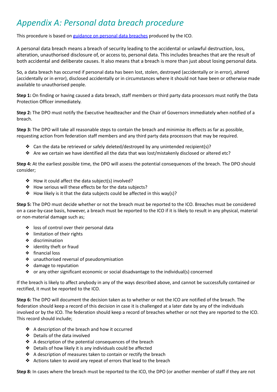# *Appendix A: Personal data breach procedure*

This procedure is based on [guidance](https://ico.org.uk/for-organisations/guide-to-the-general-data-protection-regulation-gdpr/personal-data-breaches/) on personal data breaches produced by the ICO.

A personal data breach means a breach of security leading to the accidental or unlawful destruction, loss, alteration, unauthorised disclosure of, or access to, personal data. This includes breaches that are the result of both accidental and deliberate causes. It also means that a breach is more than just about losing personal data.

So, a data breach has occurred if personal data has been lost, stolen, destroyed (accidentally or in error), altered (accidentally or in error), disclosed accidentally or in circumstances where it should not have been or otherwise made available to unauthorised people.

**Step 1:** On finding or having caused a data breach, staff members or third party data processors must notify the Data Protection Officer immediately.

**Step 2:** The DPO must notify the Executive headteacher and the Chair of Governors immediately when notified of a breach.

**Step 3:** The DPO will take all reasonable steps to contain the breach and minimise its effects as far as possible, requesting action from federation staff members and any third party data processors that may be required.

- ❖ Can the data be retrieved or safely deleted/destroyed by any unintended recipient(s)?
- ❖ Are we certain we have identified all the data that was lost/mistakenly disclosed or altered etc?

**Step 4:** At the earliest possible time, the DPO will assess the potential consequences of the breach. The DPO should consider;

- ❖ How it could affect the data subject(s) involved?
- ❖ How serious will these effects be for the data subjects?
- ❖ How likely is it that the data subjects could be affected in this way(s)?

**Step 5:** The DPO must decide whether or not the breach must be reported to the ICO. Breaches must be considered on a case-by-case basis, however, a breach must be reported to the ICO if it is likely to result in any physical, material or non-material damage such as;

- ❖ loss of control over their personal data
- ❖ limitation of their rights
- ❖ discrimination
- ❖ identity theft or fraud
- ❖ financial loss
- ❖ unauthorised reversal of pseudonymisation
- ❖ damage to reputation
- ❖ or any other significant economic or social disadvantage to the individual(s) concerned

If the breach is likely to affect anybody in any of the ways described above, and cannot be successfully contained or rectified, it must be reported to the ICO.

**Step 6:** The DPO will document the decision taken as to whether or not the ICO are notified of the breach. The federation should keep a record of this decision in case it is challenged at a later date by any of the individuals involved or by the ICO. The federation should keep a record of breaches whether or not they are reported to the ICO. This record should include;

- ❖ A description of the breach and how it occurred
- ❖ Details of the data involved
- ❖ A description of the potential consequences of the breach
- ❖ Details of how likely it is any individuals could be affected
- ❖ A description of measures taken to contain or rectify the breach
- ❖ Actions taken to avoid any repeat of errors that lead to the breach

**Step 8:** In cases where the breach must be reported to the ICO, the DPO (or another member of staff if they are not